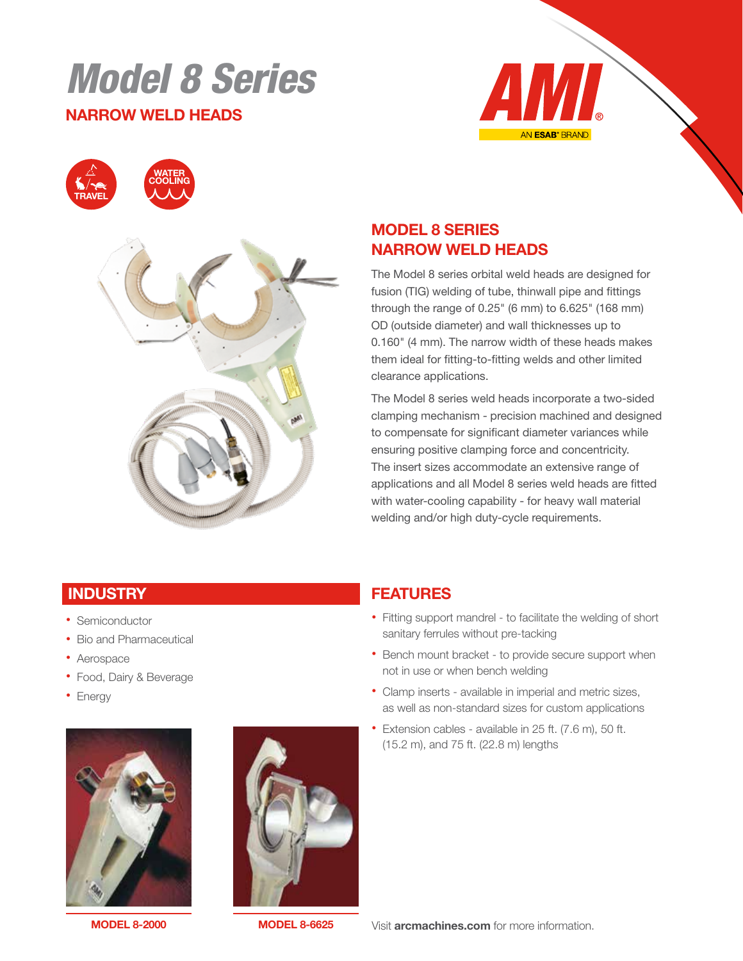# Model 8 Series

#### NARROW WELD HEADS







## MODEL 8 SERIES NARROW WELD HEADS

The Model 8 series orbital weld heads are designed for fusion (TIG) welding of tube, thinwall pipe and fittings through the range of 0.25" (6 mm) to 6.625" (168 mm) OD (outside diameter) and wall thicknesses up to 0.160" (4 mm). The narrow width of these heads makes them ideal for fitting-to-fitting welds and other limited clearance applications.

The Model 8 series weld heads incorporate a two-sided clamping mechanism - precision machined and designed to compensate for significant diameter variances while ensuring positive clamping force and concentricity. The insert sizes accommodate an extensive range of applications and all Model 8 series weld heads are fitted with water-cooling capability - for heavy wall material welding and/or high duty-cycle requirements.

#### **INDUSTRY**

- Semiconductor
- Bio and Pharmaceutical
- Aerospace
- Food, Dairy & Beverage
- Energy





MODEL 8-2000 MODEL 8-6625



- Fitting support mandrel to facilitate the welding of short sanitary ferrules without pre-tacking
- Bench mount bracket to provide secure support when not in use or when bench welding
- Clamp inserts available in imperial and metric sizes, as well as non-standard sizes for custom applications
- Extension cables available in 25 ft. (7.6 m), 50 ft. (15.2 m), and 75 ft. (22.8 m) lengths

Visit **arcmachines.com** for more information.